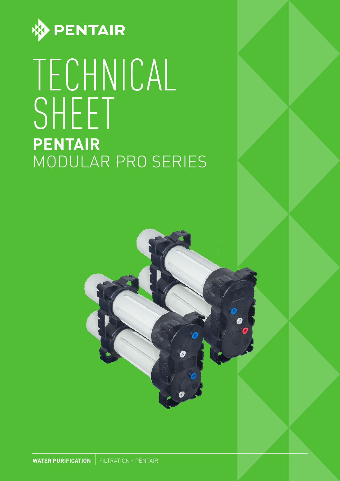

# TECHNICAL SHEET **PENTAIR** MODULAR PRO SERIES



**WATER PURIFICATION** FILTRATION - PENTAIR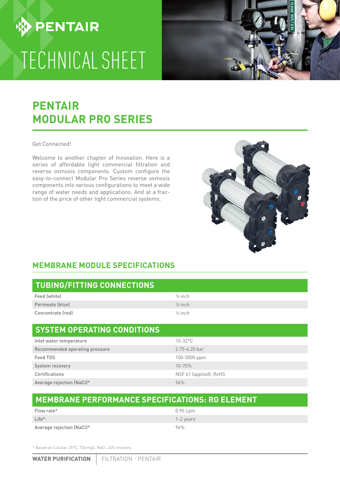## **MEMBRANE MODULE SPECIFICATIONS**

| <b>TUBING/FITTING CONNECTIONS</b> |                    |
|-----------------------------------|--------------------|
| Feed (white)                      | $\frac{1}{2}$ inch |
| Permeate (blue)                   | $\frac{1}{2}$ inch |
| Concentrate (red)                 | $\frac{1}{2}$ inch |

### **SYSTEM OPERATING CONDITIONS**

| Inlet water temperature        | $10-32$ °C             |
|--------------------------------|------------------------|
| Recommended operating pressure | $2.75 - 6.20$ bar      |
| Feed TDS                       | 100-3000 ppm           |
| System recovery                | $10 - 75%$             |
| Certifications                 | NSF 61 (applied), RoHS |
| Average rejection (NaCl)*      | 94%                    |

#### **MEMBRANE PERFORMANCE SPECIFICATIONS: RO ELEMENT**

| Flow rate*                | 0.95 Lpm  |
|---------------------------|-----------|
| Life <sup>*</sup>         | 1-2 years |
| Average rejection (NaCl)* | 94%       |

\* Based on 3.44 bar, 25°C, 750 mg/L NaCl, 24% recovery.

# **PENTAIR MODULAR PRO SERIES**

#### Get Connected!

Welcome to another chapter of Innovation. Here is a series of affordable light commercial filtration and reverse osmosis components. Custom configure the easy-to-connect Modular Pro Series reverse osmosis components into various configurations to meet a wide range of water needs and applications. And at a fraction of the price of other light commercial systems.

# TECHNICAL SHEET



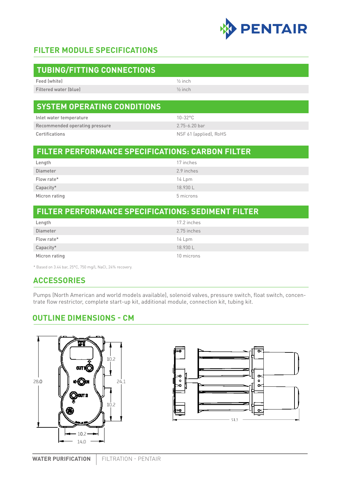

#### **FILTER MODULE SPECIFICATIONS**

| <b>TUBING/FITTING CONNECTIONS</b> |                    |
|-----------------------------------|--------------------|
| Feed (white)                      | $\frac{1}{2}$ inch |
| Filtered water (blue)             | $\frac{1}{2}$ inch |
|                                   |                    |

#### **SYSTEM OPERATING CONDITIONS FLOW REATING COND**

| Inlet water temperature        | 10-32°C                |
|--------------------------------|------------------------|
| Recommended operating pressure | $2.75 - 6.20$ har      |
| Certifications                 | NSF 61 (applied), RoHS |

#### **FILTER PERFORMANCE SPECIFICATIONS: CARBON FILTER**

| Length        | 17 inches  |
|---------------|------------|
| Diameter      | 2.9 inches |
| Flow rate*    | 14 Lpm     |
| Capacity*     | 18.930L    |
| Micron rating | 5 microns  |

#### **FILTER PERFORMANCE SPECIFICATIONS: SEDIMENT FILTER**

| Length        | 17.2 inches |
|---------------|-------------|
| Diameter      | 2.75 inches |
| Flow rate*    | 14 Lpm      |
| Capacity*     | 18.930L     |
| Micron rating | 10 microns  |

\* Based on 3.44 bar, 25°C, 750 mg/L NaCl, 24% recovery.

#### **ACCESSORIES**

Pumps (North American and world models available), solenoid valves, pressure switch, float switch, concentrate flow restrictor, complete start-up kit, additional module, connection kit, tubing kit.

#### **OUTLINE DIMENSIONS - CM**



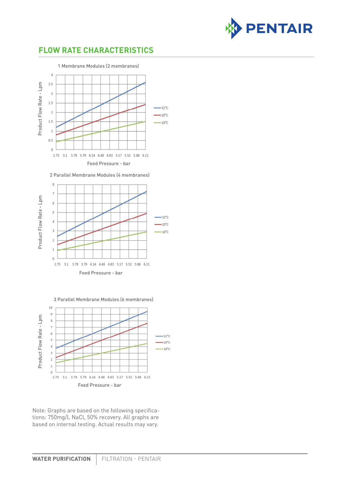

#### **FLOW RATE CHARACTERISTICS**



2 Parallel Membrane Modules (4 membranes)



3 Parallel Membrane Modules (6 membranes)



Note: Graphs are based on the following specifications: 750mg/L NaCl, 50% recovery. All graphs are based on internal testing. Actual results may vary.